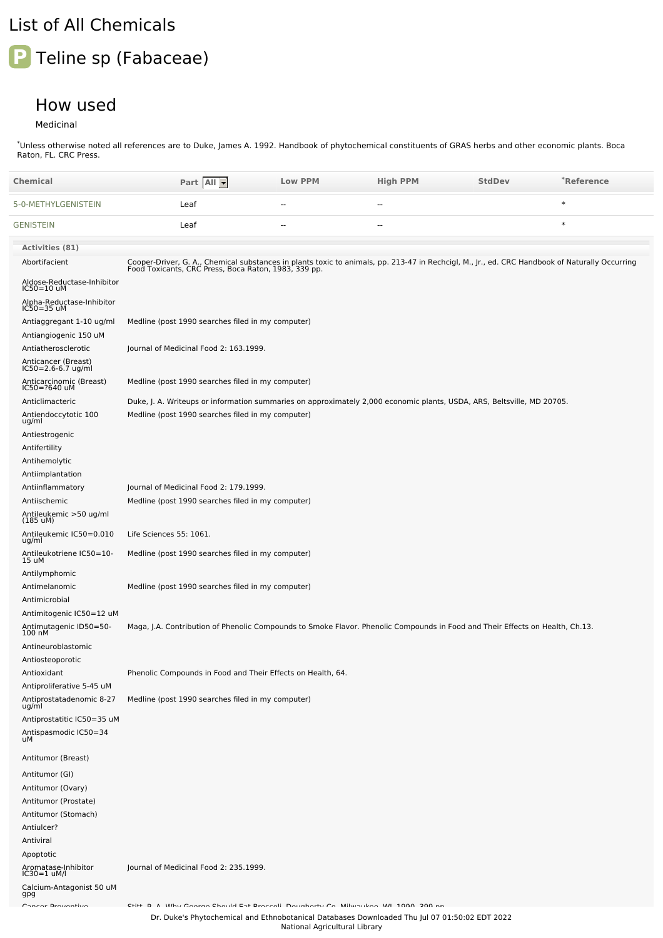## List of All Chemicals

## **P** Teline sp (Fabaceae)

## How used

Medicinal

\*Unless otherwise noted all references are to Duke, James A. 1992. Handbook of phytochemical constituents of GRAS herbs and other economic plants. Boca Raton, FL. CRC Press.

| Chemical                                                         | Part All                                                                                                                                                                                               | <b>Low PPM</b> | <b>High PPM</b> | <b>StdDev</b> | *Reference |
|------------------------------------------------------------------|--------------------------------------------------------------------------------------------------------------------------------------------------------------------------------------------------------|----------------|-----------------|---------------|------------|
| 5-0-METHYLGENISTEIN                                              | Leaf                                                                                                                                                                                                   | $\sim$ $\sim$  | --              |               | $\ast$     |
| <b>GENISTEIN</b>                                                 | Leaf                                                                                                                                                                                                   | $\overline{a}$ | --              |               | $\ast$     |
| <b>Activities (81)</b>                                           |                                                                                                                                                                                                        |                |                 |               |            |
| Abortifacient                                                    | Cooper-Driver, G. A., Chemical substances in plants toxic to animals, pp. 213-47 in Rechcigl, M., Jr., ed. CRC Handbook of Naturally Occurring<br>Food Toxicants, CRC Press, Boca Raton, 1983, 339 pp. |                |                 |               |            |
| Aldose-Reductase-Inhibitor<br>$IC50=10$ uM                       |                                                                                                                                                                                                        |                |                 |               |            |
| Alpha-Reductase-Inhibitor<br>$IC50 = 35$ uM                      |                                                                                                                                                                                                        |                |                 |               |            |
| Antiaggregant 1-10 ug/ml                                         | Medline (post 1990 searches filed in my computer)                                                                                                                                                      |                |                 |               |            |
| Antiangiogenic 150 uM                                            |                                                                                                                                                                                                        |                |                 |               |            |
| Antiatherosclerotic<br>Anticancer (Breast)<br>IC50=2.6-6.7 ug/ml | Journal of Medicinal Food 2: 163.1999.                                                                                                                                                                 |                |                 |               |            |
| Anticarcinomic (Breast)<br>IC50=?640 uM                          | Medline (post 1990 searches filed in my computer)                                                                                                                                                      |                |                 |               |            |
| Anticlimacteric                                                  | Duke, J. A. Writeups or information summaries on approximately 2,000 economic plants, USDA, ARS, Beltsville, MD 20705.                                                                                 |                |                 |               |            |
| Antiendoccytotic 100<br>ug/ml                                    | Medline (post 1990 searches filed in my computer)                                                                                                                                                      |                |                 |               |            |
| Antiestrogenic                                                   |                                                                                                                                                                                                        |                |                 |               |            |
| Antifertility<br>Antihemolytic                                   |                                                                                                                                                                                                        |                |                 |               |            |
| Antiimplantation                                                 |                                                                                                                                                                                                        |                |                 |               |            |
| Antiinflammatory                                                 | Journal of Medicinal Food 2: 179.1999.                                                                                                                                                                 |                |                 |               |            |
| Antiischemic                                                     | Medline (post 1990 searches filed in my computer)                                                                                                                                                      |                |                 |               |            |
| Antileukemic >50 ug/ml<br>$(185 \text{ uM})$                     |                                                                                                                                                                                                        |                |                 |               |            |
| Antileukemic IC50=0.010<br>ug/ml                                 | Life Sciences 55: 1061.                                                                                                                                                                                |                |                 |               |            |
| Antileukotriene IC50=10-<br>15 uM                                | Medline (post 1990 searches filed in my computer)                                                                                                                                                      |                |                 |               |            |
| Antilymphomic                                                    |                                                                                                                                                                                                        |                |                 |               |            |
| Antimelanomic                                                    | Medline (post 1990 searches filed in my computer)                                                                                                                                                      |                |                 |               |            |
| Antimicrobial                                                    |                                                                                                                                                                                                        |                |                 |               |            |
| Antimitogenic IC50=12 uM                                         |                                                                                                                                                                                                        |                |                 |               |            |
| Antimutagenic ID50=50-<br>100 nM                                 | Maga, J.A. Contribution of Phenolic Compounds to Smoke Flavor. Phenolic Compounds in Food and Their Effects on Health, Ch.13.                                                                          |                |                 |               |            |
| Antineuroblastomic                                               |                                                                                                                                                                                                        |                |                 |               |            |
| Antiosteoporotic                                                 |                                                                                                                                                                                                        |                |                 |               |            |
| Antioxidant<br>Antiproliferative 5-45 uM                         | Phenolic Compounds in Food and Their Effects on Health, 64.                                                                                                                                            |                |                 |               |            |
| Antiprostatadenomic 8-27<br>ug/ml                                | Medline (post 1990 searches filed in my computer)                                                                                                                                                      |                |                 |               |            |
| Antiprostatitic IC50=35 uM                                       |                                                                                                                                                                                                        |                |                 |               |            |
| Antispasmodic IC50=34<br>uМ                                      |                                                                                                                                                                                                        |                |                 |               |            |
| Antitumor (Breast)                                               |                                                                                                                                                                                                        |                |                 |               |            |
| Antitumor (GI)                                                   |                                                                                                                                                                                                        |                |                 |               |            |
| Antitumor (Ovary)                                                |                                                                                                                                                                                                        |                |                 |               |            |
| Antitumor (Prostate)                                             |                                                                                                                                                                                                        |                |                 |               |            |
| Antitumor (Stomach)                                              |                                                                                                                                                                                                        |                |                 |               |            |
| Antiulcer?                                                       |                                                                                                                                                                                                        |                |                 |               |            |
| Antiviral                                                        |                                                                                                                                                                                                        |                |                 |               |            |
| Apoptotic                                                        |                                                                                                                                                                                                        |                |                 |               |            |
| Aromatase-Inhibitor<br>IC30=1 uM/l                               | Journal of Medicinal Food 2: 235.1999.                                                                                                                                                                 |                |                 |               |            |
| Calcium-Antagonist 50 uM<br>gpg                                  |                                                                                                                                                                                                        |                |                 |               |            |
| Concer Brotanthun                                                | When Cannon Charlel Fat Dessault, Davislands Ca., Militaristan, WI, 1000, 200 a.<br>CL:LL, D, A                                                                                                        |                |                 |               |            |